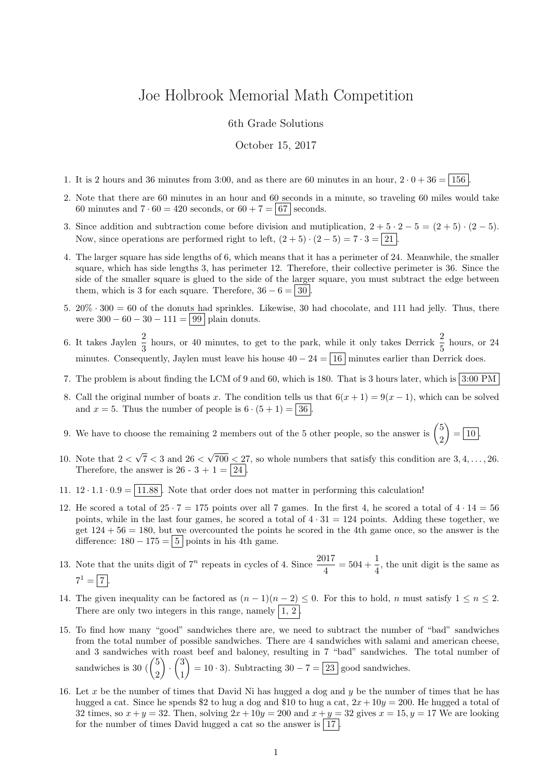## Joe Holbrook Memorial Math Competition

6th Grade Solutions

October 15, 2017

- 1. It is 2 hours and 36 minutes from 3:00, and as there are 60 minutes in an hour,  $2 \cdot 0 + 36 = 156$
- 2. Note that there are 60 minutes in an hour and 60 seconds in a minute, so traveling 60 miles would take 60 minutes and  $7 \cdot 60 = 420$  seconds, or  $60 + 7 = 67$  seconds.
- 3. Since addition and subtraction come before division and mutiplication,  $2 + 5 \cdot 2 5 = (2 + 5) \cdot (2 5)$ . Now, since operations are performed right to left,  $(2+5) \cdot (2-5) = 7 \cdot 3 = 21$ .
- 4. The larger square has side lengths of 6, which means that it has a perimeter of 24. Meanwhile, the smaller square, which has side lengths 3, has perimeter 12. Therefore, their collective perimeter is 36. Since the side of the smaller square is glued to the side of the larger square, you must subtract the edge between them, which is 3 for each square. Therefore,  $36 - 6 = 30$
- 5.  $20\% \cdot 300 = 60$  of the donuts had sprinkles. Likewise, 30 had chocolate, and 111 had jelly. Thus, there were  $300 - 60 - 30 - 111 = 99$  plain donuts.
- 6. It takes Jaylen  $\frac{2}{3}$  hours, or 40 minutes, to get to the park, while it only takes Derrick  $\frac{2}{5}$  hours, or 24 minutes. Consequently, Jaylen must leave his house  $40 - 24 = \boxed{16}$  minutes earlier than Derrick does.
- 7. The problem is about finding the LCM of 9 and 60, which is 180. That is 3 hours later, which is  $3:00 \text{ PM}$
- 8. Call the original number of boats x. The condition tells us that  $6(x + 1) = 9(x 1)$ , which can be solved and  $x = 5$ . Thus the number of people is  $6 \cdot (5 + 1) = |36|$ .
- 9. We have to choose the remaining 2 members out of the 5 other people, so the answer is  $\binom{5}{3}$ 2  $\Big) = \boxed{10}.$
- 10. Note that  $2 <$ √  $7 < 3$  and  $26 <$ √  $700 < 27$ , so whole numbers that satisfy this condition are  $3, 4, \ldots, 26$ . Therefore, the answer is 26 - 3 + 1 =  $\boxed{24}$
- 11.  $12 \cdot 1.1 \cdot 0.9 = \boxed{11.88}$ . Note that order does not matter in performing this calculation!
- 12. He scored a total of  $25 \cdot 7 = 175$  points over all 7 games. In the first 4, he scored a total of  $4 \cdot 14 = 56$ points, while in the last four games, he scored a total of  $4 \cdot 31 = 124$  points. Adding these together, we get  $124 + 56 = 180$ , but we overcounted the points he scored in the 4th game once, so the answer is the difference:  $180 - 175 = 5$  points in his 4th game.
- 13. Note that the units digit of  $7^n$  repeats in cycles of 4. Since  $\frac{2017}{4} = 504 + \frac{1}{4}$ , the unit digit is the same as  $7^1 = 7.$
- 14. The given inequality can be factored as  $(n-1)(n-2) \leq 0$ . For this to hold, n must satisfy  $1 \leq n \leq 2$ . There are only two integers in this range, namely  $\vert 1, 2 \vert$ .
- 15. To find how many "good" sandwiches there are, we need to subtract the number of "bad" sandwiches from the total number of possible sandwiches. There are 4 sandwiches with salami and american cheese, and 3 sandwiches with roast beef and baloney, resulting in 7 "bad" sandwiches. The total number of sandwiches is 30  $\binom{5}{0}$ 2  $\Big) \cdot \Big( \frac{3}{4}$ 1  $= 10 \cdot 3$ . Subtracting  $30 - 7 = 23$  good sandwiches.
- 16. Let x be the number of times that David Ni has hugged a dog and y be the number of times that he has hugged a cat. Since he spends \$2 to hug a dog and \$10 to hug a cat,  $2x + 10y = 200$ . He hugged a total of 32 times, so  $x + y = 32$ . Then, solving  $2x + 10y = 200$  and  $x + y = 32$  gives  $x = 15, y = 17$  We are looking for the number of times David hugged a cat so the answer is  $|17|$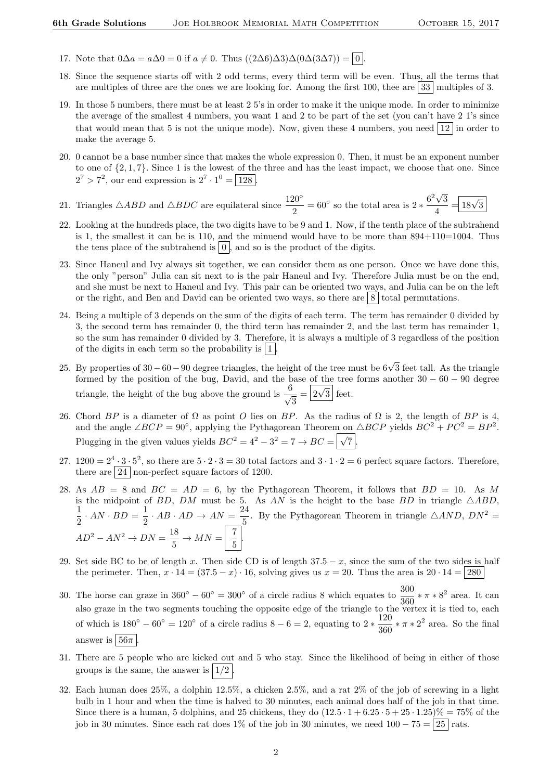- 17. Note that  $0\Delta a = a\Delta 0 = 0$  if  $a \neq 0$ . Thus  $((2\Delta 6)\Delta 3)\Delta (0\Delta (3\Delta 7)) = 0$
- 18. Since the sequence starts off with 2 odd terms, every third term will be even. Thus, all the terms that are multiples of three are the ones we are looking for. Among the first 100, thee are  $33 \mid$  multiples of 3.
- 19. In those 5 numbers, there must be at least 2 5's in order to make it the unique mode. In order to minimize the average of the smallest 4 numbers, you want 1 and 2 to be part of the set (you can't have 2 1's since that would mean that 5 is not the unique mode). Now, given these 4 numbers, you need  $|12|$  in order to make the average 5.
- 20. 0 cannot be a base number since that makes the whole expression 0. Then, it must be an exponent number to one of  $\{2, 1, 7\}$ . Since 1 is the lowest of the three and has the least impact, we choose that one. Since  $2^7 > 7^2$ , our end expression is  $2^7 \cdot 1^0 = 128$ .
- 21. Triangles  $\triangle ABD$  and  $\triangle BDC$  are equilateral since  $\frac{120^{\circ}}{2} = 60^{\circ}$  so the total area is  $2 * \frac{6^2 \sqrt{3}}{4}$ 3  $\frac{\sqrt{3}}{4} = \boxed{18\sqrt{3}}$
- 22. Looking at the hundreds place, the two digits have to be 9 and 1. Now, if the tenth place of the subtrahend is 1, the smallest it can be is 110, and the minuend would have to be more than  $894+110=1004$ . Thus the tens place of the subtrahend is  $\vert 0 \vert$ , and so is the product of the digits.
- 23. Since Haneul and Ivy always sit together, we can consider them as one person. Once we have done this, the only "person" Julia can sit next to is the pair Haneul and Ivy. Therefore Julia must be on the end, and she must be next to Haneul and Ivy. This pair can be oriented two ways, and Julia can be on the left or the right, and Ben and David can be oriented two ways, so there are  $\boxed{8}$  total permutations.
- 24. Being a multiple of 3 depends on the sum of the digits of each term. The term has remainder 0 divided by 3, the second term has remainder 0, the third term has remainder 2, and the last term has remainder 1, so the sum has remainder 0 divided by 3. Therefore, it is always a multiple of 3 regardless of the position of the digits in each term so the probability is  $|1|$
- 25. By properties of 30 60 90 degree triangles, the height of the tree must be 6√3 feet tall. As the triangle formed by the position of the bug, David, and the base of the tree forms another  $30 - 60 - 90$  degree triangle, the height of the bug above the ground is  $\frac{6}{4}$  $\frac{3}{3} = \boxed{2\sqrt{3}}$  feet.
- 26. Chord BP is a diameter of  $\Omega$  as point O lies on BP. As the radius of  $\Omega$  is 2, the length of BP is 4, and the angle  $\angle BCP = 90^{\circ}$ , applying the Pythagorean Theorem on  $\triangle BCP$  yields  $BC^{2} + PC^{2} = BP^{2}$ . Plugging in the given values yields  $BC^2 = 4^2 - 3^2 = 7 \rightarrow BC = \sqrt{\sqrt{}}$  $7$  .
- 27.  $1200 = 2^4 \cdot 3 \cdot 5^2$ , so there are  $5 \cdot 2 \cdot 3 = 30$  total factors and  $3 \cdot 1 \cdot 2 = 6$  perfect square factors. Therefore, there are  $\boxed{24}$  non-perfect square factors of 1200.
- 28. As  $AB = 8$  and  $BC = AD = 6$ , by the Pythagorean Theorem, it follows that  $BD = 10$ . As M is the midpoint of BD, DM must be 5. As AN is the height to the base BD in triangle  $\triangle ABD$ , 1  $\frac{1}{2} \cdot AN \cdot BD = \frac{1}{2}$  $rac{1}{2} \cdot AB \cdot AD \rightarrow AN = \frac{24}{5}$  $\frac{24}{5}$ . By the Pythagorean Theorem in triangle  $\triangle AND$ ,  $DN^2 =$  $AD^2 - AN^2 \rightarrow DN = \frac{18}{5}$  $rac{18}{5}$   $\rightarrow$   $MN = \begin{bmatrix} 7 \\ 5 \end{bmatrix}$  $\frac{1}{5}$
- 29. Set side BC to be of length x. Then side CD is of length  $37.5 x$ , since the sum of the two sides is half the perimeter. Then,  $x \cdot 14 = (37.5 - x) \cdot 16$ , solving gives us  $x = 20$ . Thus the area is  $20 \cdot 14 = |280|$
- 30. The horse can graze in  $360° 60° = 300°$  of a circle radius 8 which equates to  $\frac{300}{360} * \pi * 8^2$  area. It can also graze in the two segments touching the opposite edge of the triangle to the vertex it is tied to, each of which is  $180^\circ - 60^\circ = 120^\circ$  of a circle radius  $8 - 6 = 2$ , equating to  $2 * \frac{120}{200}$  $\frac{120}{360} * \pi * 2^2$  area. So the final answer is  $56\pi$
- 31. There are 5 people who are kicked out and 5 who stay. Since the likelihood of being in either of those groups is the same, the answer is  $|1/2|$
- 32. Each human does 25%, a dolphin 12.5%, a chicken 2.5%, and a rat 2% of the job of screwing in a light bulb in 1 hour and when the time is halved to 30 minutes, each animal does half of the job in that time. Since there is a human, 5 dolphins, and 25 chickens, they do  $(12.5 \cdot 1 + 6.25 \cdot 5 + 25 \cdot 1.25)\% = 75\%$  of the job in 30 minutes. Since each rat does 1% of the job in 30 minutes, we need  $100 - 75 = 25$  rats.